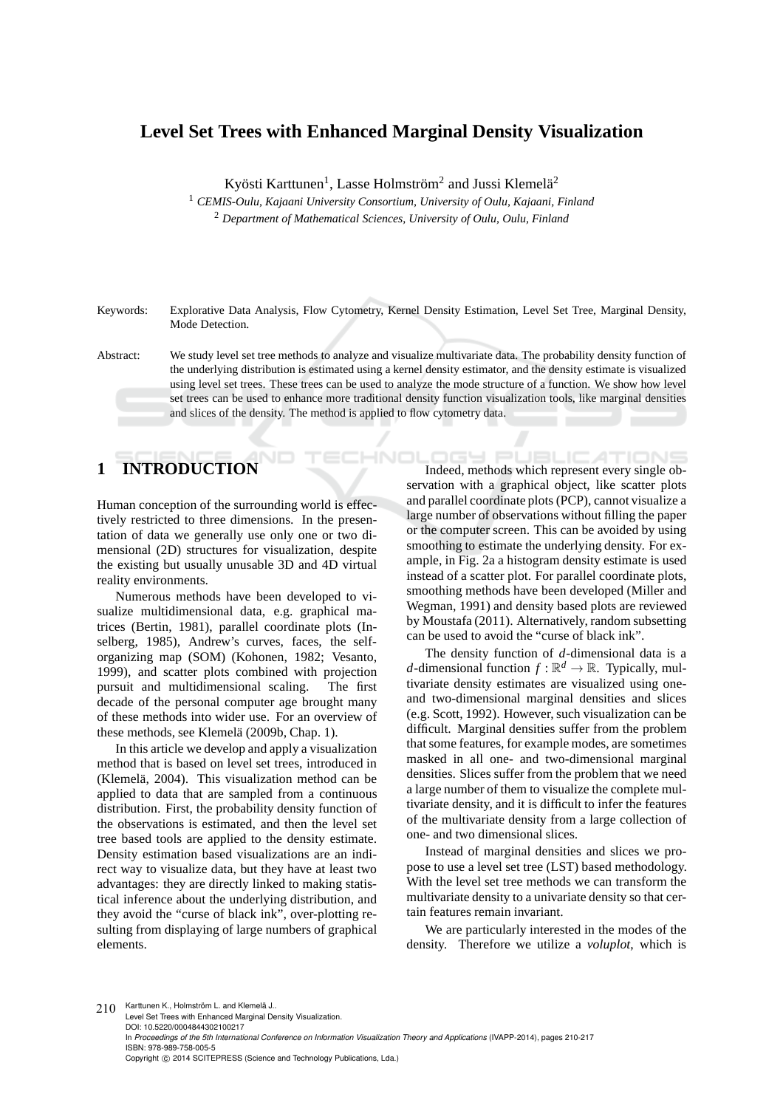## **Level Set Trees with Enhanced Marginal Density Visualization**

Kyösti Karttunen<sup>1</sup>, Lasse Holmström<sup>2</sup> and Jussi Klemelä<sup>2</sup>

<sup>1</sup> *CEMIS-Oulu, Kajaani University Consortium, University of Oulu, Kajaani, Finland* <sup>2</sup> *Department of Mathematical Sciences, University of Oulu, Oulu, Finland*

Keywords: Explorative Data Analysis, Flow Cytometry, Kernel Density Estimation, Level Set Tree, Marginal Density, Mode Detection.

# **1 INTRODUCTION**

Human conception of the surrounding world is effectively restricted to three dimensions. In the presentation of data we generally use only one or two dimensional (2D) structures for visualization, despite the existing but usually unusable 3D and 4D virtual reality environments.

Numerous methods have been developed to visualize multidimensional data, e.g. graphical matrices (Bertin, 1981), parallel coordinate plots (Inselberg, 1985), Andrew's curves, faces, the selforganizing map (SOM) (Kohonen, 1982; Vesanto, 1999), and scatter plots combined with projection pursuit and multidimensional scaling. The first decade of the personal computer age brought many of these methods into wider use. For an overview of these methods, see Klemelä (2009b, Chap. 1).

In this article we develop and apply a visualization method that is based on level set trees, introduced in (Klemelä, 2004). This visualization method can be applied to data that are sampled from a continuous distribution. First, the probability density function of the observations is estimated, and then the level set tree based tools are applied to the density estimate. Density estimation based visualizations are an indirect way to visualize data, but they have at least two advantages: they are directly linked to making statistical inference about the underlying distribution, and they avoid the "curse of black ink", over-plotting resulting from displaying of large numbers of graphical elements.

IGY PL JBLIC **ATIONS** Indeed, methods which represent every single observation with a graphical object, like scatter plots and parallel coordinate plots (PCP), cannot visualize a large number of observations without filling the paper or the computer screen. This can be avoided by using smoothing to estimate the underlying density. For example, in Fig. 2a a histogram density estimate is used instead of a scatter plot. For parallel coordinate plots, smoothing methods have been developed (Miller and Wegman, 1991) and density based plots are reviewed by Moustafa (2011). Alternatively, random subsetting can be used to avoid the "curse of black ink".

The density function of *d*-dimensional data is a *d*-dimensional function  $f : \mathbb{R}^d \to \mathbb{R}$ . Typically, multivariate density estimates are visualized using oneand two-dimensional marginal densities and slices (e.g. Scott, 1992). However, such visualization can be difficult. Marginal densities suffer from the problem that some features, for example modes, are sometimes masked in all one- and two-dimensional marginal densities. Slices suffer from the problem that we need a large number of them to visualize the complete multivariate density, and it is difficult to infer the features of the multivariate density from a large collection of one- and two dimensional slices.

Instead of marginal densities and slices we propose to use a level set tree (LST) based methodology. With the level set tree methods we can transform the multivariate density to a univariate density so that certain features remain invariant.

We are particularly interested in the modes of the density. Therefore we utilize a *voluplot*, which is

210 Karttunen K., Holmström L. and Klemelä J.. Level Set Trees with Enhanced Marginal Density Visualization. DOI: 10.5220/0004844302100217 In *Proceedings of the 5th International Conference on Information Visualization Theory and Applications* (IVAPP-2014), pages 210-217 ISBN: 978-989-758-005-5 Copyright © 2014 SCITEPRESS (Science and Technology Publications, Lda.)

Abstract: We study level set tree methods to analyze and visualize multivariate data. The probability density function of the underlying distribution is estimated using a kernel density estimator, and the density estimate is visualized using level set trees. These trees can be used to analyze the mode structure of a function. We show how level set trees can be used to enhance more traditional density function visualization tools, like marginal densities and slices of the density. The method is applied to flow cytometry data.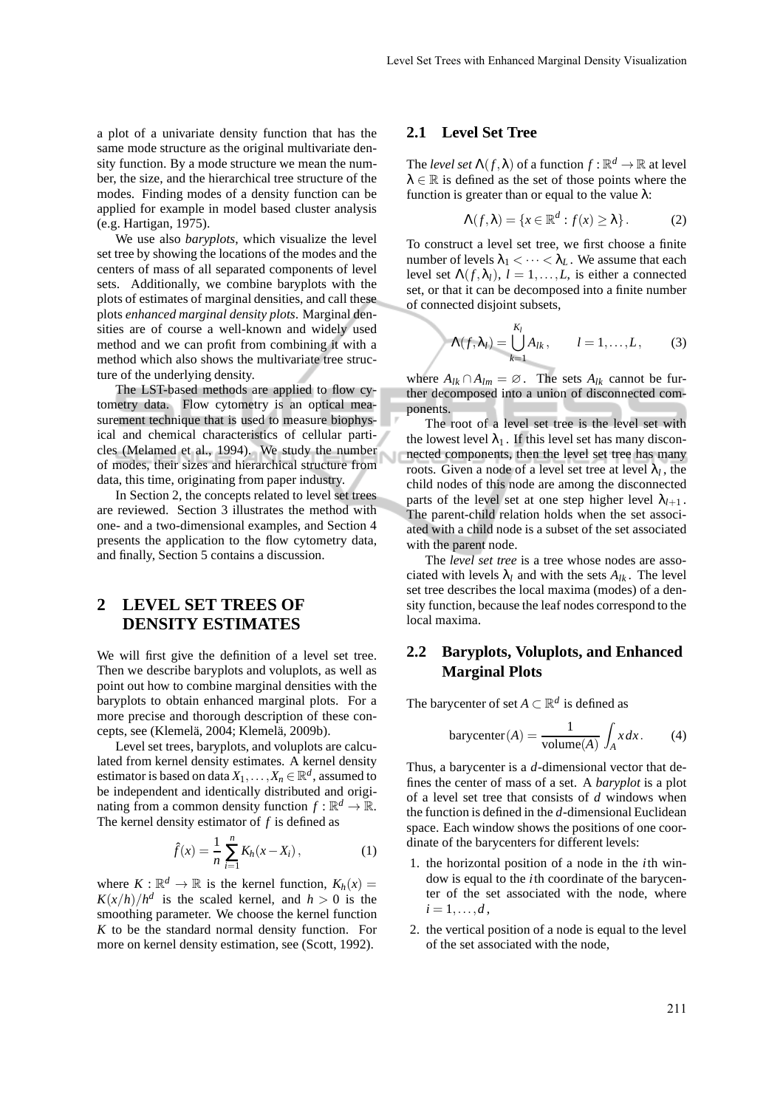a plot of a univariate density function that has the same mode structure as the original multivariate density function. By a mode structure we mean the number, the size, and the hierarchical tree structure of the modes. Finding modes of a density function can be applied for example in model based cluster analysis (e.g. Hartigan, 1975).

We use also *baryplots*, which visualize the level set tree by showing the locations of the modes and the centers of mass of all separated components of level sets. Additionally, we combine baryplots with the plots of estimates of marginal densities, and call these plots *enhanced marginal density plots*. Marginal densities are of course a well-known and widely used method and we can profit from combining it with a method which also shows the multivariate tree structure of the underlying density.

The LST-based methods are applied to flow cytometry data. Flow cytometry is an optical measurement technique that is used to measure biophysical and chemical characteristics of cellular particles (Melamed et al., 1994). We study the number of modes, their sizes and hierarchical structure from data, this time, originating from paper industry.

In Section 2, the concepts related to level set trees are reviewed. Section 3 illustrates the method with one- and a two-dimensional examples, and Section 4 presents the application to the flow cytometry data, and finally, Section 5 contains a discussion.

## **2 LEVEL SET TREES OF DENSITY ESTIMATES**

We will first give the definition of a level set tree. Then we describe baryplots and voluplots, as well as point out how to combine marginal densities with the baryplots to obtain enhanced marginal plots. For a more precise and thorough description of these concepts, see (Klemelä, 2004; Klemelä, 2009b).

Level set trees, baryplots, and voluplots are calculated from kernel density estimates. A kernel density estimator is based on data  $X_1, \ldots, X_n \in \mathbb{R}^d$ , assumed to be independent and identically distributed and originating from a common density function  $f : \mathbb{R}^d \to \mathbb{R}$ . The kernel density estimator of *f* is defined as

$$
\hat{f}(x) = \frac{1}{n} \sum_{i=1}^{n} K_h(x - X_i), \qquad (1)
$$

where  $K : \mathbb{R}^d \to \mathbb{R}$  is the kernel function,  $K_h(x) =$  $K(x/h)/h^d$  is the scaled kernel, and  $h > 0$  is the smoothing parameter. We choose the kernel function *K* to be the standard normal density function. For more on kernel density estimation, see (Scott, 1992).

#### **2.1 Level Set Tree**

The *level set*  $\Lambda(f, \lambda)$  of a function  $f : \mathbb{R}^d \to \mathbb{R}$  at level  $\lambda \in \mathbb{R}$  is defined as the set of those points where the function is greater than or equal to the value  $\lambda$ :

$$
\Lambda(f,\lambda) = \{x \in \mathbb{R}^d : f(x) \ge \lambda\}.
$$
 (2)

To construct a level set tree, we first choose a finite number of levels  $\lambda_1 < \cdots < \lambda_L$ . We assume that each level set  $\Lambda(f, \lambda_l)$ ,  $l = 1, ..., L$ , is either a connected set, or that it can be decomposed into a finite number of connected disjoint subsets,

$$
\Lambda(f,\lambda_l)=\bigcup_{k=1}^{K_l}A_{lk},\qquad l=1,\ldots,L,\qquad(3)
$$

where  $A_{lk} \cap A_{lm} = \emptyset$ . The sets  $A_{lk}$  cannot be further decomposed into a union of disconnected components.

The root of a level set tree is the level set with the lowest level  $\lambda_1$ . If this level set has many disconnected components, then the level set tree has many roots. Given a node of a level set tree at level  $\lambda_l$ , the child nodes of this node are among the disconnected parts of the level set at one step higher level  $\lambda_{l+1}$ . The parent-child relation holds when the set associated with a child node is a subset of the set associated with the parent node.

The *level set tree* is a tree whose nodes are associated with levels  $\lambda_l$  and with the sets  $A_{lk}$ . The level set tree describes the local maxima (modes) of a density function, because the leaf nodes correspond to the local maxima.

### **2.2 Baryplots, Voluplots, and Enhanced Marginal Plots**

The barycenter of set  $A \subset \mathbb{R}^d$  is defined as

$$
barycenter(A) = \frac{1}{volume(A)} \int_{A} x dx.
$$
 (4)

Thus, a barycenter is a *d*-dimensional vector that defines the center of mass of a set. A *baryplot* is a plot of a level set tree that consists of *d* windows when the function is defined in the *d*-dimensional Euclidean space. Each window shows the positions of one coordinate of the barycenters for different levels:

- 1. the horizontal position of a node in the *i*th window is equal to the *i*th coordinate of the barycenter of the set associated with the node, where  $i = 1, \ldots, d$ ,
- 2. the vertical position of a node is equal to the level of the set associated with the node,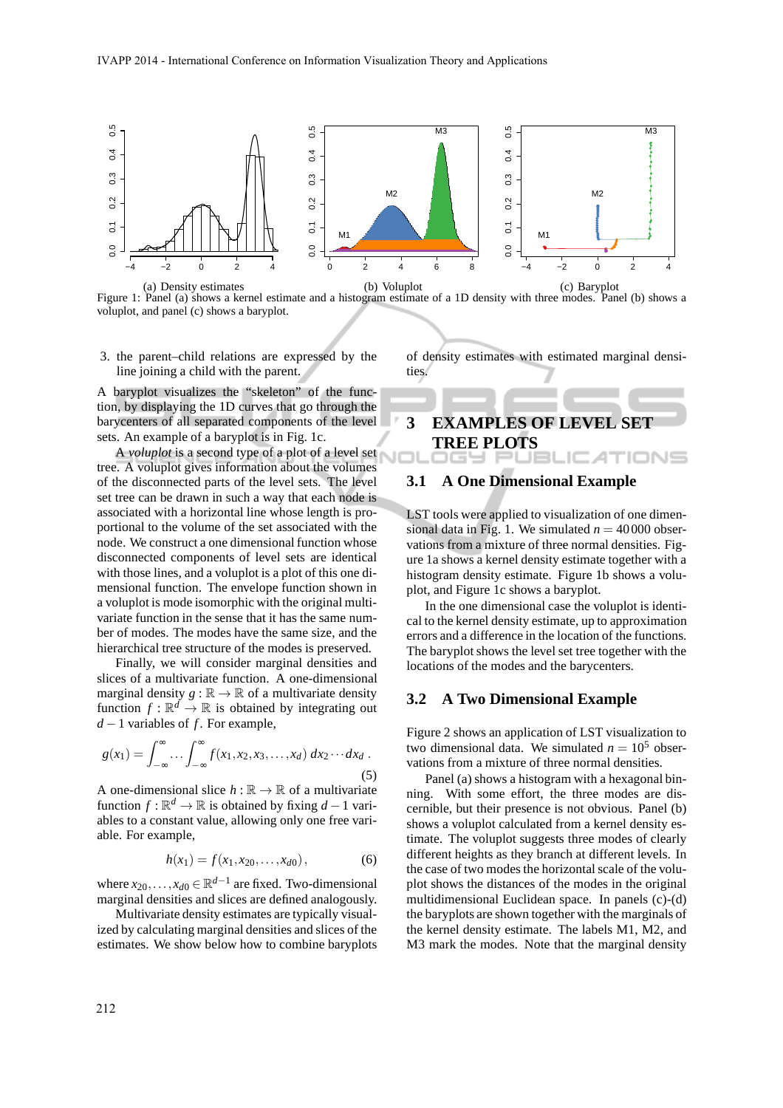

Figure 1: Panel (a) shows a kernel estimate and a histogram estimate of a 1D density with three modes. Panel (b) shows a voluplot, and panel (c) shows a baryplot.

3. the parent–child relations are expressed by the line joining a child with the parent.

A baryplot visualizes the "skeleton" of the function, by displaying the 1D curves that go through the barycenters of all separated components of the level sets. An example of a baryplot is in Fig. 1c.

A *voluplot* is a second type of a plot of a level set tree. A voluplot gives information about the volumes of the disconnected parts of the level sets. The level set tree can be drawn in such a way that each node is associated with a horizontal line whose length is proportional to the volume of the set associated with the node. We construct a one dimensional function whose disconnected components of level sets are identical with those lines, and a voluplot is a plot of this one dimensional function. The envelope function shown in a voluplot is mode isomorphic with the original multivariate function in the sense that it has the same number of modes. The modes have the same size, and the hierarchical tree structure of the modes is preserved.

Finally, we will consider marginal densities and slices of a multivariate function. A one-dimensional marginal density  $g : \mathbb{R} \to \mathbb{R}$  of a multivariate density function  $f: \mathbb{R}^d \to \mathbb{R}$  is obtained by integrating out *d* − 1 variables of *f*. For example,

$$
g(x_1) = \int_{-\infty}^{\infty} \dots \int_{-\infty}^{\infty} f(x_1, x_2, x_3, \dots, x_d) dx_2 \dots dx_d.
$$
 (5)

A one-dimensional slice  $h : \mathbb{R} \to \mathbb{R}$  of a multivariate function  $f : \mathbb{R}^d \to \mathbb{R}$  is obtained by fixing  $d - 1$  variables to a constant value, allowing only one free variable. For example,

$$
h(x_1) = f(x_1, x_{20}, \dots, x_{d0}), \tag{6}
$$

where  $x_{20},...,x_{d0} \in \mathbb{R}^{d-1}$  are fixed. Two-dimensional marginal densities and slices are defined analogously.

Multivariate density estimates are typically visualized by calculating marginal densities and slices of the estimates. We show below how to combine baryplots of density estimates with estimated marginal densities.

#### **3 EXAMPLES OF LEVEL SET TREE PLOTS** IONS . . . .

#### **3.1 A One Dimensional Example**

LST tools were applied to visualization of one dimensional data in Fig. 1. We simulated  $n = 40000$  observations from a mixture of three normal densities. Figure 1a shows a kernel density estimate together with a histogram density estimate. Figure 1b shows a voluplot, and Figure 1c shows a baryplot.

In the one dimensional case the voluplot is identical to the kernel density estimate, up to approximation errors and a difference in the location of the functions. The baryplot shows the level set tree together with the locations of the modes and the barycenters.

#### **3.2 A Two Dimensional Example**

Figure 2 shows an application of LST visualization to two dimensional data. We simulated  $n = 10^5$  observations from a mixture of three normal densities.

Panel (a) shows a histogram with a hexagonal binning. With some effort, the three modes are discernible, but their presence is not obvious. Panel (b) shows a voluplot calculated from a kernel density estimate. The voluplot suggests three modes of clearly different heights as they branch at different levels. In the case of two modes the horizontal scale of the voluplot shows the distances of the modes in the original multidimensional Euclidean space. In panels (c)-(d) the baryplots are shown together with the marginals of the kernel density estimate. The labels M1, M2, and M3 mark the modes. Note that the marginal density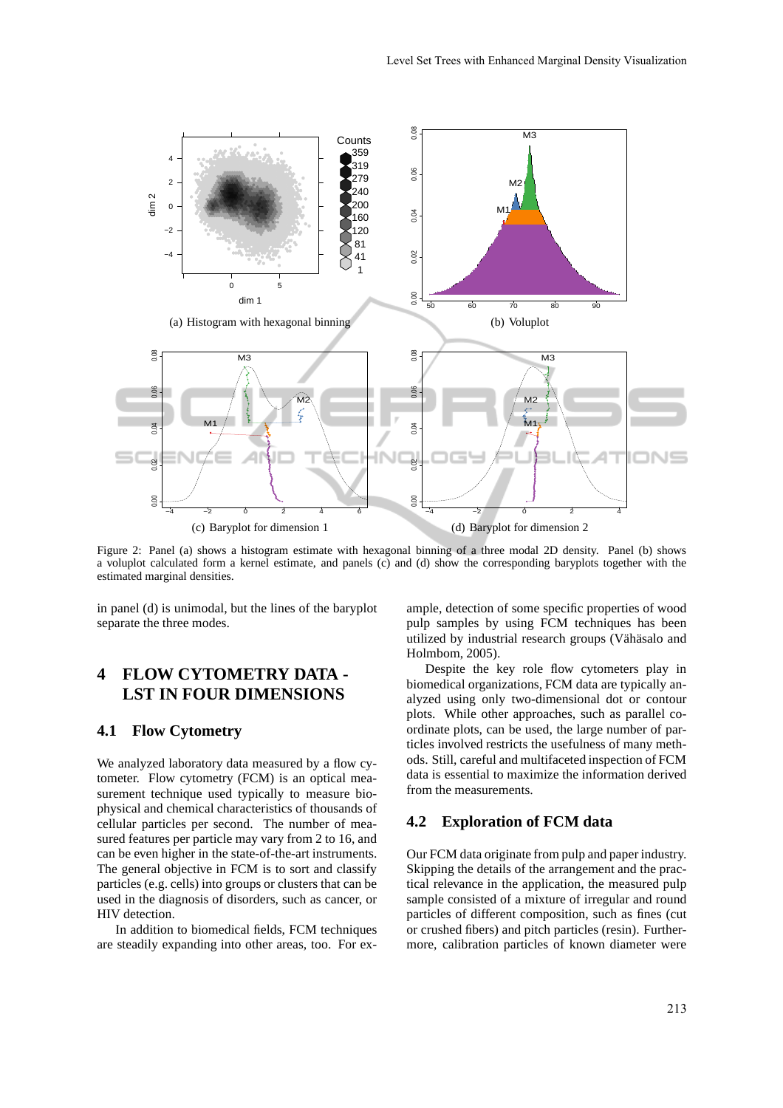

Figure 2: Panel (a) shows a histogram estimate with hexagonal binning of a three modal 2D density. Panel (b) shows a voluplot calculated form a kernel estimate, and panels (c) and (d) show the corresponding baryplots together with the estimated marginal densities.

in panel (d) is unimodal, but the lines of the baryplot separate the three modes.

## **4 FLOW CYTOMETRY DATA - LST IN FOUR DIMENSIONS**

#### **4.1 Flow Cytometry**

We analyzed laboratory data measured by a flow cytometer. Flow cytometry (FCM) is an optical measurement technique used typically to measure biophysical and chemical characteristics of thousands of cellular particles per second. The number of measured features per particle may vary from 2 to 16, and can be even higher in the state-of-the-art instruments. The general objective in FCM is to sort and classify particles (e.g. cells) into groups or clusters that can be used in the diagnosis of disorders, such as cancer, or HIV detection.

In addition to biomedical fields, FCM techniques are steadily expanding into other areas, too. For ex-

ample, detection of some specific properties of wood pulp samples by using FCM techniques has been utilized by industrial research groups (Vähäsalo and Holmbom, 2005).

Despite the key role flow cytometers play in biomedical organizations, FCM data are typically analyzed using only two-dimensional dot or contour plots. While other approaches, such as parallel coordinate plots, can be used, the large number of particles involved restricts the usefulness of many methods. Still, careful and multifaceted inspection of FCM data is essential to maximize the information derived from the measurements.

#### **4.2 Exploration of FCM data**

Our FCM data originate from pulp and paper industry. Skipping the details of the arrangement and the practical relevance in the application, the measured pulp sample consisted of a mixture of irregular and round particles of different composition, such as fines (cut or crushed fibers) and pitch particles (resin). Furthermore, calibration particles of known diameter were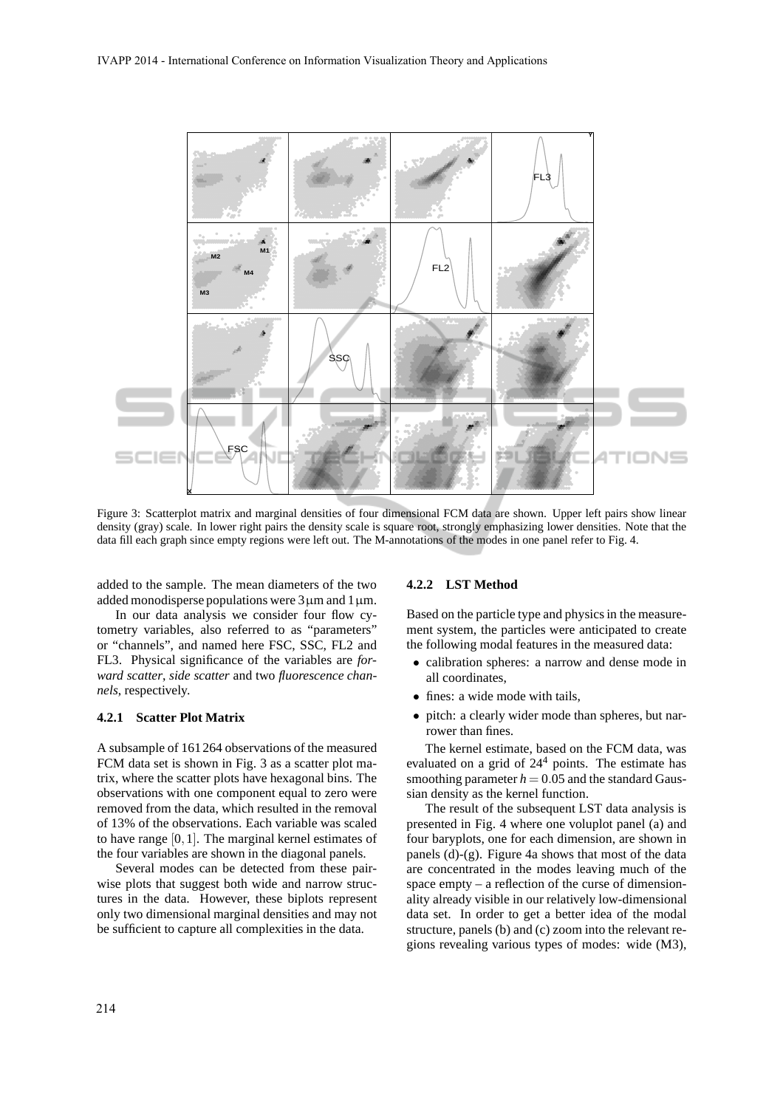

Figure 3: Scatterplot matrix and marginal densities of four dimensional FCM data are shown. Upper left pairs show linear density (gray) scale. In lower right pairs the density scale is square root, strongly emphasizing lower densities. Note that the data fill each graph since empty regions were left out. The M-annotations of the modes in one panel refer to Fig. 4.

added to the sample. The mean diameters of the two added monodisperse populations were  $3 \mu$ m and  $1 \mu$ m.

In our data analysis we consider four flow cytometry variables, also referred to as "parameters" or "channels", and named here FSC, SSC, FL2 and FL3. Physical significance of the variables are *forward scatter*, *side scatter* and two *fluorescence channels*, respectively.

### **4.2.1 Scatter Plot Matrix**

A subsample of 161264 observations of the measured FCM data set is shown in Fig. 3 as a scatter plot matrix, where the scatter plots have hexagonal bins. The observations with one component equal to zero were removed from the data, which resulted in the removal of 13% of the observations. Each variable was scaled to have range [0,1]. The marginal kernel estimates of the four variables are shown in the diagonal panels.

Several modes can be detected from these pairwise plots that suggest both wide and narrow structures in the data. However, these biplots represent only two dimensional marginal densities and may not be sufficient to capture all complexities in the data.

#### **4.2.2 LST Method**

Based on the particle type and physics in the measurement system, the particles were anticipated to create the following modal features in the measured data:

- calibration spheres: a narrow and dense mode in all coordinates,
- fines: a wide mode with tails,
- pitch: a clearly wider mode than spheres, but narrower than fines.

The kernel estimate, based on the FCM data, was evaluated on a grid of  $24<sup>4</sup>$  points. The estimate has smoothing parameter  $h = 0.05$  and the standard Gaussian density as the kernel function.

The result of the subsequent LST data analysis is presented in Fig. 4 where one voluplot panel (a) and four baryplots, one for each dimension, are shown in panels (d)-(g). Figure 4a shows that most of the data are concentrated in the modes leaving much of the space empty – a reflection of the curse of dimensionality already visible in our relatively low-dimensional data set. In order to get a better idea of the modal structure, panels (b) and (c) zoom into the relevant regions revealing various types of modes: wide (M3),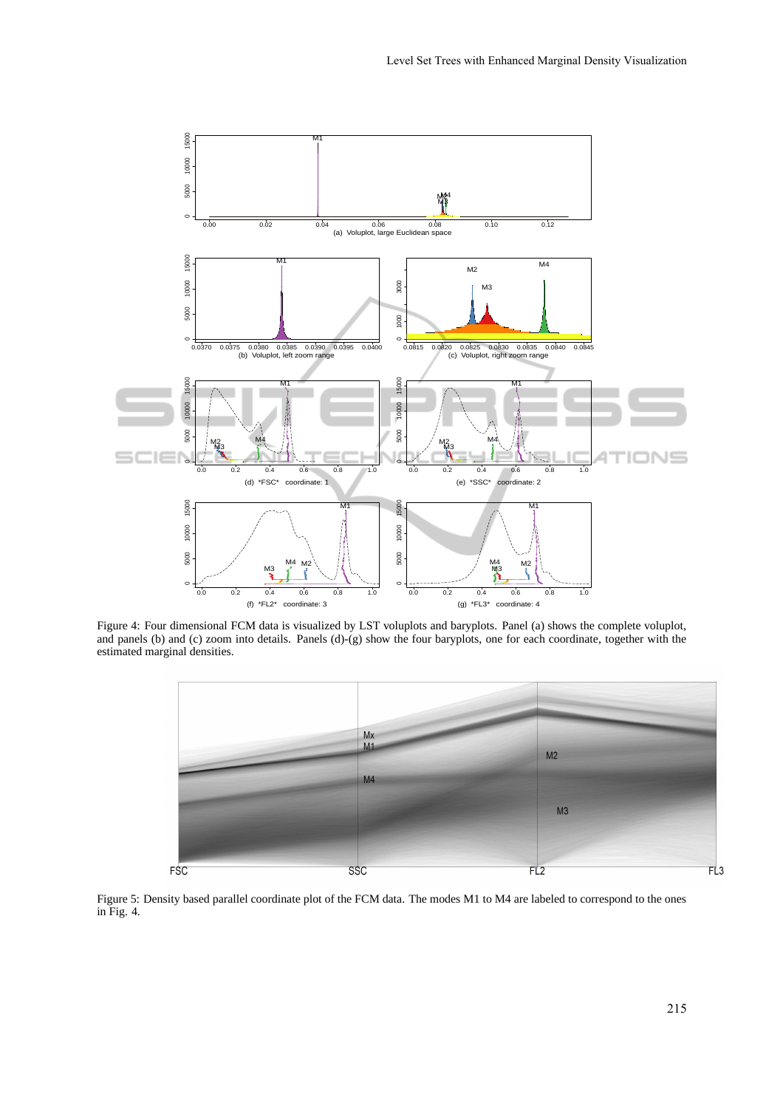

Figure 4: Four dimensional FCM data is visualized by LST voluplots and baryplots. Panel (a) shows the complete voluplot, and panels (b) and (c) zoom into details. Panels (d)-(g) show the four baryplots, one for each coordinate, together with the estimated marginal densities.



Figure 5: Density based parallel coordinate plot of the FCM data. The modes M1 to M4 are labeled to correspond to the ones in Fig. 4.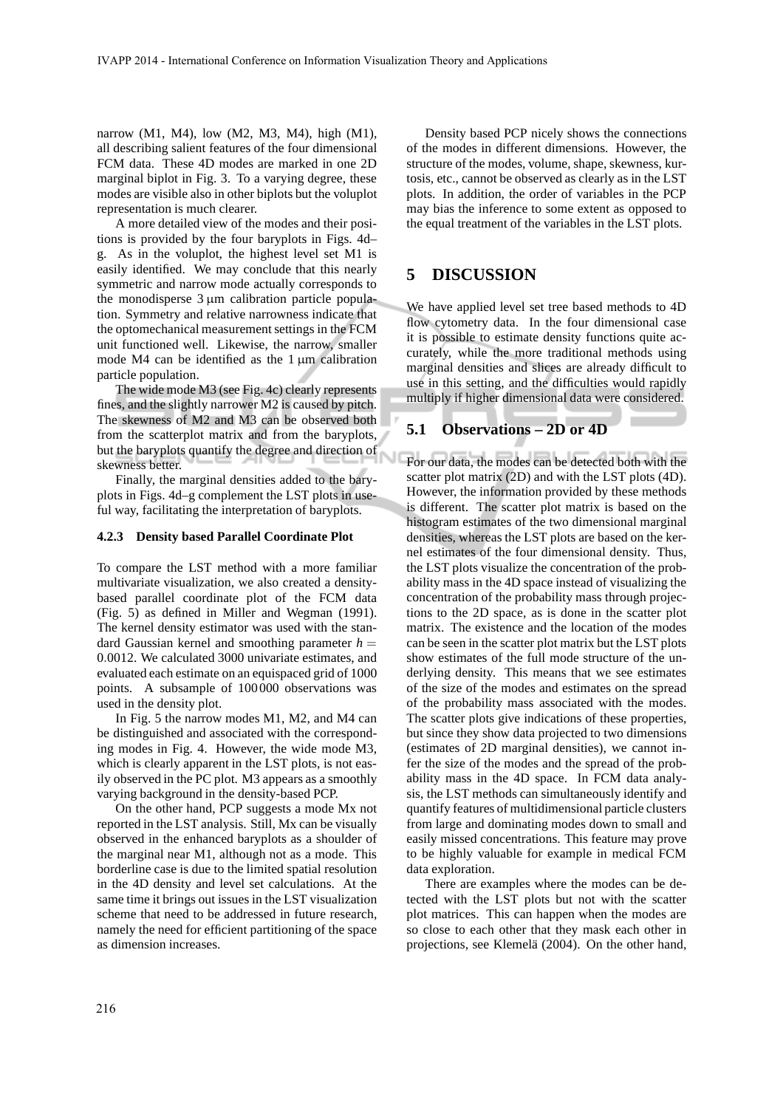narrow (M1, M4), low (M2, M3, M4), high (M1), all describing salient features of the four dimensional FCM data. These 4D modes are marked in one 2D marginal biplot in Fig. 3. To a varying degree, these modes are visible also in other biplots but the voluplot representation is much clearer.

A more detailed view of the modes and their positions is provided by the four baryplots in Figs. 4d– g. As in the voluplot, the highest level set M1 is easily identified. We may conclude that this nearly symmetric and narrow mode actually corresponds to the monodisperse  $3 \mu m$  calibration particle population. Symmetry and relative narrowness indicate that the optomechanical measurement settings in the FCM unit functioned well. Likewise, the narrow, smaller mode M4 can be identified as the  $1 \mu m$  calibration particle population.

The wide mode M3 (see Fig. 4c) clearly represents fines, and the slightly narrower M2 is caused by pitch. The skewness of M2 and M3 can be observed both from the scatterplot matrix and from the baryplots, but the baryplots quantify the degree and direction of skewness better.

Finally, the marginal densities added to the baryplots in Figs. 4d–g complement the LST plots in useful way, facilitating the interpretation of baryplots.

#### **4.2.3 Density based Parallel Coordinate Plot**

To compare the LST method with a more familiar multivariate visualization, we also created a densitybased parallel coordinate plot of the FCM data (Fig. 5) as defined in Miller and Wegman (1991). The kernel density estimator was used with the standard Gaussian kernel and smoothing parameter  $h =$ 0.0012. We calculated 3000 univariate estimates, and evaluated each estimate on an equispaced grid of 1000 points. A subsample of 100000 observations was used in the density plot.

In Fig. 5 the narrow modes M1, M2, and M4 can be distinguished and associated with the corresponding modes in Fig. 4. However, the wide mode M3, which is clearly apparent in the LST plots, is not easily observed in the PC plot. M3 appears as a smoothly varying background in the density-based PCP.

On the other hand, PCP suggests a mode Mx not reported in the LST analysis. Still, Mx can be visually observed in the enhanced baryplots as a shoulder of the marginal near M1, although not as a mode. This borderline case is due to the limited spatial resolution in the 4D density and level set calculations. At the same time it brings out issues in the LST visualization scheme that need to be addressed in future research, namely the need for efficient partitioning of the space as dimension increases.

Density based PCP nicely shows the connections of the modes in different dimensions. However, the structure of the modes, volume, shape, skewness, kurtosis, etc., cannot be observed as clearly as in the LST plots. In addition, the order of variables in the PCP may bias the inference to some extent as opposed to the equal treatment of the variables in the LST plots.

### **5 DISCUSSION**

We have applied level set tree based methods to 4D flow cytometry data. In the four dimensional case it is possible to estimate density functions quite accurately, while the more traditional methods using marginal densities and slices are already difficult to use in this setting, and the difficulties would rapidly multiply if higher dimensional data were considered.

#### **5.1 Observations – 2D or 4D**

For our data, the modes can be detected both with the scatter plot matrix (2D) and with the LST plots (4D). However, the information provided by these methods is different. The scatter plot matrix is based on the histogram estimates of the two dimensional marginal densities, whereas the LST plots are based on the kernel estimates of the four dimensional density. Thus, the LST plots visualize the concentration of the probability mass in the 4D space instead of visualizing the concentration of the probability mass through projections to the 2D space, as is done in the scatter plot matrix. The existence and the location of the modes can be seen in the scatter plot matrix but the LST plots show estimates of the full mode structure of the underlying density. This means that we see estimates of the size of the modes and estimates on the spread of the probability mass associated with the modes. The scatter plots give indications of these properties, but since they show data projected to two dimensions (estimates of 2D marginal densities), we cannot infer the size of the modes and the spread of the probability mass in the 4D space. In FCM data analysis, the LST methods can simultaneously identify and quantify features of multidimensional particle clusters from large and dominating modes down to small and easily missed concentrations. This feature may prove to be highly valuable for example in medical FCM data exploration.

There are examples where the modes can be detected with the LST plots but not with the scatter plot matrices. This can happen when the modes are so close to each other that they mask each other in projections, see Klemelä (2004). On the other hand,